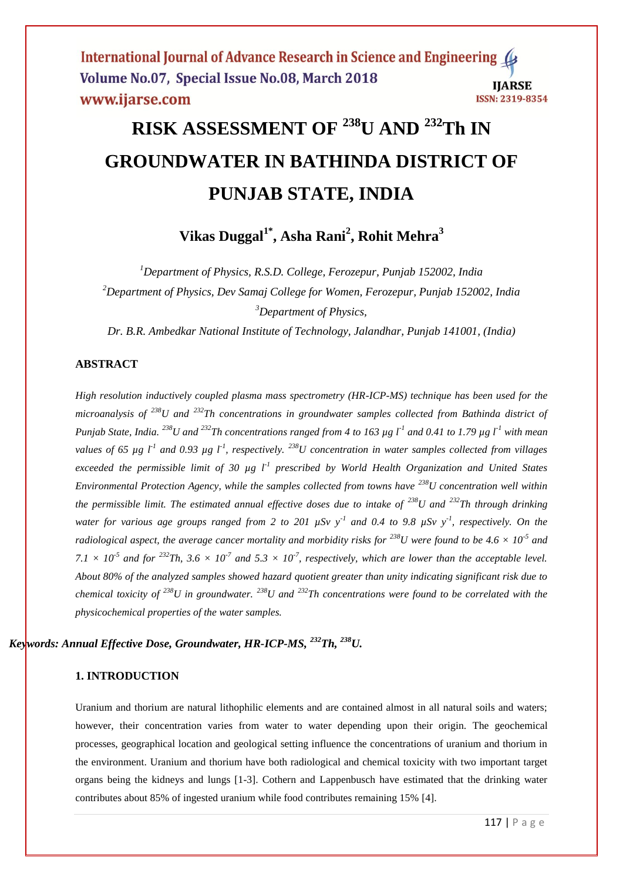# **RISK ASSESSMENT OF <sup>238</sup>U AND <sup>232</sup>Th IN GROUNDWATER IN BATHINDA DISTRICT OF PUNJAB STATE, INDIA**

**Vikas Duggal1\* , Asha Rani<sup>2</sup> , Rohit Mehra<sup>3</sup>**

*<sup>1</sup>Department of Physics, R.S.D. College, Ferozepur, Punjab 152002, India <sup>2</sup>Department of Physics, Dev Samaj College for Women, Ferozepur, Punjab 152002, India <sup>3</sup>Department of Physics,* 

*Dr. B.R. Ambedkar National Institute of Technology, Jalandhar, Punjab 141001, (India)*

#### **ABSTRACT**

*High resolution inductively coupled plasma mass spectrometry (HR-ICP-MS) technique has been used for the microanalysis of <sup>238</sup>U and <sup>232</sup>Th concentrations in groundwater samples collected from Bathinda district of Punjab State, India. <sup>238</sup>U and <sup>232</sup>Th concentrations ranged from 4 to 163 µg l-1 and 0.41 to 1.79 µg l-1 with mean values of 65*  $\mu$ g l<sup>-1</sup> and 0.93  $\mu$ g l<sup>-1</sup>, respectively. <sup>238</sup>U concentration in water samples collected from villages *exceeded the permissible limit of 30 µg l-1 prescribed by World Health Organization and United States Environmental Protection Agency, while the samples collected from towns have <sup>238</sup>U concentration well within the permissible limit. The estimated annual effective doses due to intake of <sup>238</sup>U and <sup>232</sup>Th through drinking water for various age groups ranged from 2 to 201 µSv y-1 and 0.4 to 9.8 µSv y-1 , respectively. On the radiological aspect, the average cancer mortality and morbidity risks for*  $^{238}$ *U were found to be 4.6*  $\times$  10<sup>-5</sup> and  $7.1 \times 10^{-5}$  and for <sup>232</sup>Th,  $3.6 \times 10^{-7}$  and  $5.3 \times 10^{-7}$ , respectively, which are lower than the acceptable level. *About 80% of the analyzed samples showed hazard quotient greater than unity indicating significant risk due to chemical toxicity of <sup>238</sup>U in groundwater. <sup>238</sup>U and <sup>232</sup>Th concentrations were found to be correlated with the physicochemical properties of the water samples.* 

#### *Keywords: Annual Effective Dose, Groundwater, HR-ICP-MS, <sup>232</sup>Th, <sup>238</sup>U.*

#### **1. INTRODUCTION**

Uranium and thorium are natural lithophilic elements and are contained almost in all natural soils and waters; however, their concentration varies from water to water depending upon their origin. The geochemical processes, geographical location and geological setting influence the concentrations of uranium and thorium in the environment. Uranium and thorium have both radiological and chemical toxicity with two important target organs being the kidneys and lungs [1-3]. Cothern and Lappenbusch have estimated that the drinking water contributes about 85% of ingested uranium while food contributes remaining 15% [4].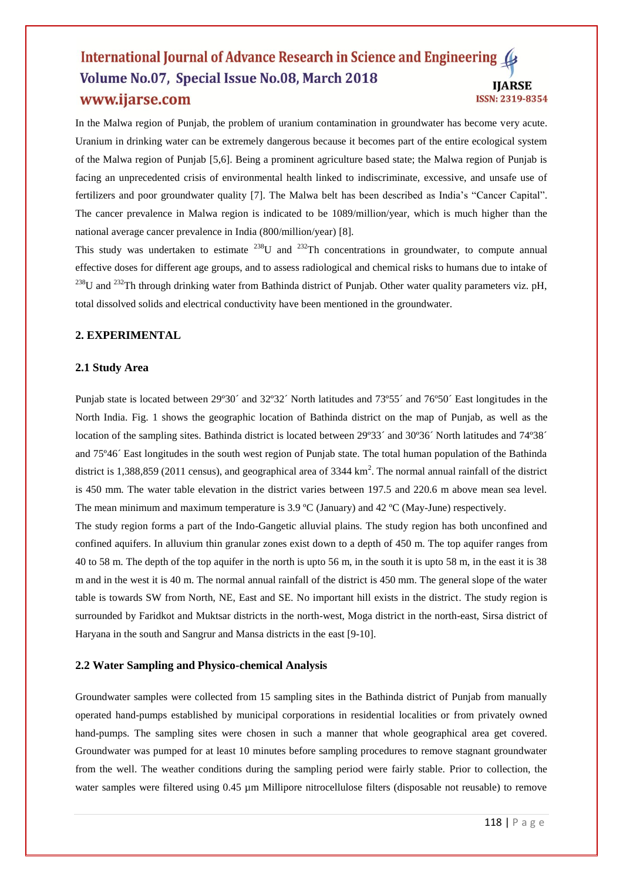In the Malwa region of Punjab, the problem of uranium contamination in groundwater has become very acute. Uranium in drinking water can be extremely dangerous because it becomes part of the entire ecological system of the Malwa region of Punjab [5,6]. Being a prominent agriculture based state; the Malwa region of Punjab is facing an unprecedented crisis of environmental health linked to indiscriminate, excessive, and unsafe use of fertilizers and poor groundwater quality [7]. The Malwa belt has been described as India's "Cancer Capital". The cancer prevalence in Malwa region is indicated to be 1089/million/year, which is much higher than the national average cancer prevalence in India (800/million/year) [8].

This study was undertaken to estimate  $^{238}$ U and  $^{232}$ Th concentrations in groundwater, to compute annual effective doses for different age groups, and to assess radiological and chemical risks to humans due to intake of  $^{238}$ U and  $^{232}$ Th through drinking water from Bathinda district of Punjab. Other water quality parameters viz. pH, total dissolved solids and electrical conductivity have been mentioned in the groundwater.

#### **2. EXPERIMENTAL**

#### **2.1 Study Area**

Punjab state is located between 29º30´ and 32º32´ North latitudes and 73º55´ and 76º50´ East longitudes in the North India. Fig. 1 shows the geographic location of Bathinda district on the map of Punjab, as well as the location of the sampling sites. Bathinda district is located between 29°33´ and 30°36´ North latitudes and 74°38´ and 75º46´ East longitudes in the south west region of Punjab state. The total human population of the Bathinda district is 1,388,859 (2011 census), and geographical area of 3344  $\text{km}^2$ . The normal annual rainfall of the district is 450 mm. The water table elevation in the district varies between 197.5 and 220.6 m above mean sea level. The mean minimum and maximum temperature is 3.9 ºC (January) and 42 ºC (May-June) respectively.

The study region forms a part of the Indo-Gangetic alluvial plains. The study region has both unconfined and confined aquifers. In alluvium thin granular zones exist down to a depth of 450 m. The top aquifer ranges from 40 to 58 m. The depth of the top aquifer in the north is upto 56 m, in the south it is upto 58 m, in the east it is 38 m and in the west it is 40 m. The normal annual rainfall of the district is 450 mm. The general slope of the water table is towards SW from North, NE, East and SE. No important hill exists in the district. The study region is surrounded by Faridkot and Muktsar districts in the north-west, Moga district in the north-east, Sirsa district of Haryana in the south and Sangrur and Mansa districts in the east [9-10].

#### **2.2 Water Sampling and Physico-chemical Analysis**

Groundwater samples were collected from 15 sampling sites in the Bathinda district of Punjab from manually operated hand-pumps established by municipal corporations in residential localities or from privately owned hand-pumps. The sampling sites were chosen in such a manner that whole geographical area get covered. Groundwater was pumped for at least 10 minutes before sampling procedures to remove stagnant groundwater from the well. The weather conditions during the sampling period were fairly stable. Prior to collection, the water samples were filtered using 0.45 µm Millipore nitrocellulose filters (disposable not reusable) to remove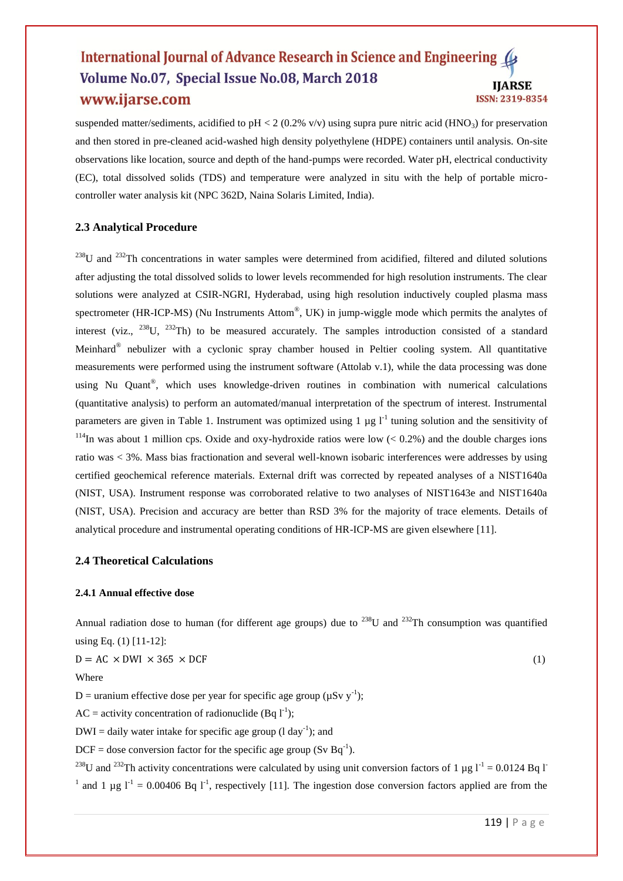suspended matter/sediments, acidified to pH < 2 (0.2% v/v) using supra pure nitric acid (HNO<sub>3</sub>) for preservation and then stored in pre-cleaned acid-washed high density polyethylene (HDPE) containers until analysis. On-site observations like location, source and depth of the hand-pumps were recorded. Water pH, electrical conductivity (EC), total dissolved solids (TDS) and temperature were analyzed in situ with the help of portable microcontroller water analysis kit (NPC 362D, Naina Solaris Limited, India).

#### **2.3 Analytical Procedure**

<sup>238</sup>U and <sup>232</sup>Th concentrations in water samples were determined from acidified, filtered and diluted solutions after adjusting the total dissolved solids to lower levels recommended for high resolution instruments. The clear solutions were analyzed at CSIR-NGRI, Hyderabad, using high resolution inductively coupled plasma mass spectrometer (HR-ICP-MS) (Nu Instruments Attom®, UK) in jump-wiggle mode which permits the analytes of interest (viz., <sup>238</sup>U, <sup>232</sup>Th) to be measured accurately. The samples introduction consisted of a standard Meinhard<sup>®</sup> nebulizer with a cyclonic spray chamber housed in Peltier cooling system. All quantitative measurements were performed using the instrument software (Attolab v.1), while the data processing was done using Nu Quant®, which uses knowledge-driven routines in combination with numerical calculations (quantitative analysis) to perform an automated/manual interpretation of the spectrum of interest. Instrumental parameters are given in Table 1. Instrument was optimized using 1  $\mu$ g l<sup>-1</sup> tuning solution and the sensitivity of <sup>114</sup>In was about 1 million cps. Oxide and oxy-hydroxide ratios were low  $(< 0.2\%)$  and the double charges ions ratio was < 3%. Mass bias fractionation and several well-known isobaric interferences were addresses by using certified geochemical reference materials. External drift was corrected by repeated analyses of a NIST1640a (NIST, USA). Instrument response was corroborated relative to two analyses of NIST1643e and NIST1640a (NIST, USA). Precision and accuracy are better than RSD 3% for the majority of trace elements. Details of analytical procedure and instrumental operating conditions of HR-ICP-MS are given elsewhere [11].

#### **2.4 Theoretical Calculations**

#### **2.4.1 Annual effective dose**

Annual radiation dose to human (for different age groups) due to  $^{238}$ U and  $^{232}$ Th consumption was quantified using Eq. (1) [11-12]:

$$
D = AC \times DWI \times 365 \times DCF
$$
 (1)  
Where

D = uranium effective dose per year for specific age group ( $\mu$ Sv y<sup>-1</sup>);

 $AC =$  activity concentration of radionuclide (Bq  $1^{-1}$ );

 $DWI =$  daily water intake for specific age group (1 day<sup>-1</sup>); and

 $DCF =$  dose conversion factor for the specific age group (Sv Bq<sup>-1</sup>).

<sup>238</sup>U and <sup>232</sup>Th activity concentrations were calculated by using unit conversion factors of 1 µg  $1^{-1}$  = 0.0124 Bq I <sup>1</sup> and 1 µg  $l^{-1}$  = 0.00406 Bq  $l^{-1}$ , respectively [11]. The ingestion dose conversion factors applied are from the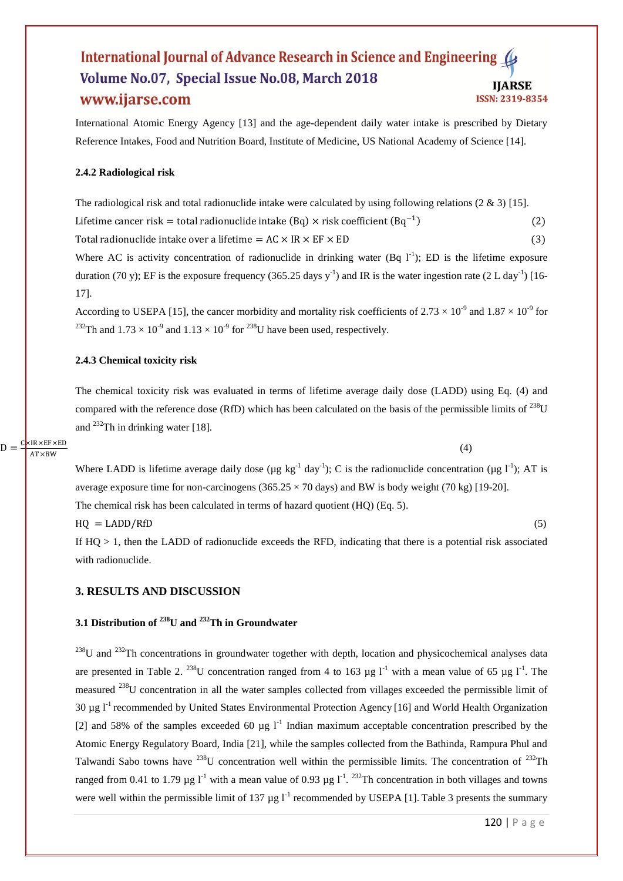International Atomic Energy Agency [13] and the age-dependent daily water intake is prescribed by Dietary Reference Intakes, Food and Nutrition Board, Institute of Medicine, US National Academy of Science [14].

#### **2.4.2 Radiological risk**

The radiological risk and total radionuclide intake were calculated by using following relations  $(2 \& 3)$  [15]. Lifetime cancer risk = total radionuclide intake  $(Bq) \times$  risk coefficient  $(Bq^{-1})$ (2)

Total radionuclide intake over a lifetime =  $AC \times IR \times EF \times ED$  (3)

Where AC is activity concentration of radionuclide in drinking water (Bq  $1^{-1}$ ); ED is the lifetime exposure duration (70 y); EF is the exposure frequency (365.25 days y<sup>-1</sup>) and IR is the water ingestion rate (2 L day<sup>-1</sup>) [16-17].

According to USEPA [15], the cancer morbidity and mortality risk coefficients of  $2.73 \times 10^{-9}$  and  $1.87 \times 10^{-9}$  for <sup>232</sup>Th and  $1.73 \times 10^{-9}$  and  $1.13 \times 10^{-9}$  for <sup>238</sup>U have been used, respectively.

#### **2.4.3 Chemical toxicity risk**

The chemical toxicity risk was evaluated in terms of lifetime average daily dose (LADD) using Eq. (4) and compared with the reference dose (RfD) which has been calculated on the basis of the permissible limits of <sup>238</sup>U and <sup>232</sup>Th in drinking water [18].

 $D = \frac{C \times IR \times EF \times ED}{AP \times PW}$  $AT \times$ BW

(4)

Where LADD is lifetime average daily dose ( $\mu$ g kg<sup>-1</sup> day<sup>-1</sup>); C is the radionuclide concentration ( $\mu$ g l<sup>-1</sup>); AT is average exposure time for non-carcinogens  $(365.25 \times 70 \text{ days})$  and BW is body weight (70 kg) [19-20]. The chemical risk has been calculated in terms of hazard quotient (HQ) (Eq. 5).

 $HQ = LADD/RfD$  (5)

If  $HQ > 1$ , then the LADD of radionuclide exceeds the RFD, indicating that there is a potential risk associated with radionuclide.

#### **3. RESULTS AND DISCUSSION**

#### **3.1 Distribution of <sup>238</sup>U and <sup>232</sup>Th in Groundwater**

 $^{238}$ U and  $^{232}$ Th concentrations in groundwater together with depth, location and physicochemical analyses data are presented in Table 2. <sup>238</sup>U concentration ranged from 4 to 163 µg  $l^{-1}$  with a mean value of 65 µg  $l^{-1}$ . The measured <sup>238</sup>U concentration in all the water samples collected from villages exceeded the permissible limit of 30  $\mu$ g l<sup>-1</sup> recommended by United States Environmental Protection Agency [16] and World Health Organization [2] and 58% of the samples exceeded 60  $\mu$ g l<sup>-1</sup> Indian maximum acceptable concentration prescribed by the Atomic Energy Regulatory Board, India [21], while the samples collected from the Bathinda, Rampura Phul and Talwandi Sabo towns have  $^{238}$ U concentration well within the permissible limits. The concentration of  $^{232}$ Th ranged from 0.41 to 1.79 µg  $I<sup>-1</sup>$  with a mean value of 0.93 µg  $I<sup>-1</sup>$ . <sup>232</sup>Th concentration in both villages and towns were well within the permissible limit of 137  $\mu$ g l<sup>-1</sup> recommended by USEPA [1]. Table 3 presents the summary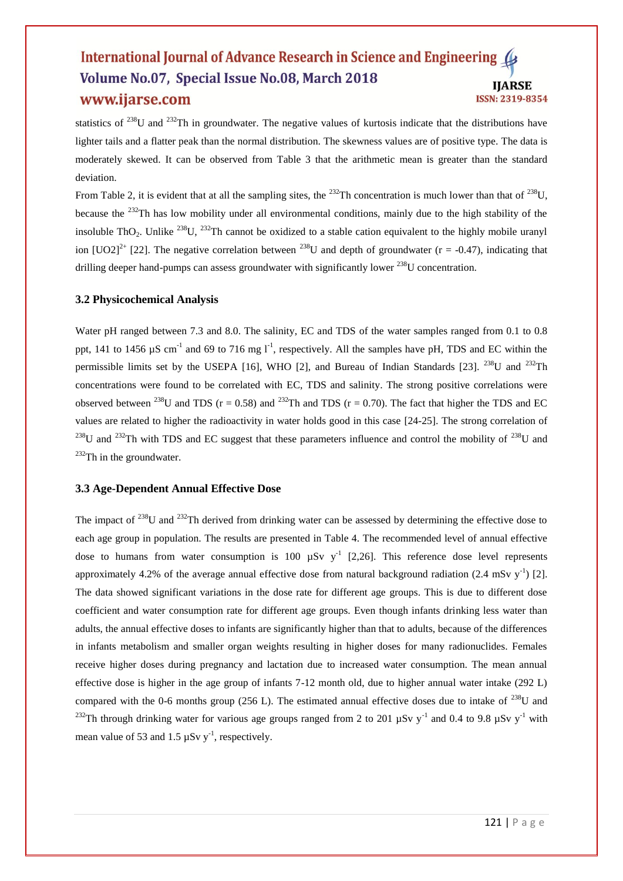statistics of <sup>238</sup>U and <sup>232</sup>Th in groundwater. The negative values of kurtosis indicate that the distributions have lighter tails and a flatter peak than the normal distribution. The skewness values are of positive type. The data is moderately skewed. It can be observed from Table 3 that the arithmetic mean is greater than the standard deviation.

From Table 2, it is evident that at all the sampling sites, the <sup>232</sup>Th concentration is much lower than that of <sup>238</sup>U, because the <sup>232</sup>Th has low mobility under all environmental conditions, mainly due to the high stability of the insoluble ThO<sub>2</sub>. Unlike <sup>238</sup>U, <sup>232</sup>Th cannot be oxidized to a stable cation equivalent to the highly mobile uranyl ion  $[UO2]^{2+}$  [22]. The negative correlation between <sup>238</sup>U and depth of groundwater (r = -0.47), indicating that drilling deeper hand-pumps can assess groundwater with significantly lower <sup>238</sup>U concentration.

#### **3.2 Physicochemical Analysis**

Water pH ranged between 7.3 and 8.0. The salinity, EC and TDS of the water samples ranged from 0.1 to 0.8 ppt, 141 to 1456  $\mu$ S cm<sup>-1</sup> and 69 to 716 mg l<sup>-1</sup>, respectively. All the samples have pH, TDS and EC within the permissible limits set by the USEPA [16], WHO [2], and Bureau of Indian Standards [23],  $^{238}$ U and  $^{232}$ Th concentrations were found to be correlated with EC, TDS and salinity. The strong positive correlations were observed between <sup>238</sup>U and TDS ( $r = 0.58$ ) and <sup>232</sup>Th and TDS ( $r = 0.70$ ). The fact that higher the TDS and EC values are related to higher the radioactivity in water holds good in this case [24-25]. The strong correlation of <sup>238</sup>U and <sup>232</sup>Th with TDS and EC suggest that these parameters influence and control the mobility of <sup>238</sup>U and  $232$ Th in the groundwater.

#### **3.3 Age-Dependent Annual Effective Dose**

The impact of <sup>238</sup>U and <sup>232</sup>Th derived from drinking water can be assessed by determining the effective dose to each age group in population. The results are presented in Table 4. The recommended level of annual effective dose to humans from water consumption is 100  $\mu Sv$  y<sup>-1</sup> [2,26]. This reference dose level represents approximately 4.2% of the average annual effective dose from natural background radiation (2.4 mSv  $y^{-1}$ ) [2]. The data showed significant variations in the dose rate for different age groups. This is due to different dose coefficient and water consumption rate for different age groups. Even though infants drinking less water than adults, the annual effective doses to infants are significantly higher than that to adults, because of the differences in infants metabolism and smaller organ weights resulting in higher doses for many radionuclides. Females receive higher doses during pregnancy and lactation due to increased water consumption. The mean annual effective dose is higher in the age group of infants 7-12 month old, due to higher annual water intake (292 L) compared with the 0-6 months group (256 L). The estimated annual effective doses due to intake of  $^{238}$ U and <sup>232</sup>Th through drinking water for various age groups ranged from 2 to 201  $\mu$ Sv y<sup>-1</sup> and 0.4 to 9.8  $\mu$ Sv y<sup>-1</sup> with mean value of 53 and 1.5  $\mu$ Sv y<sup>-1</sup>, respectively.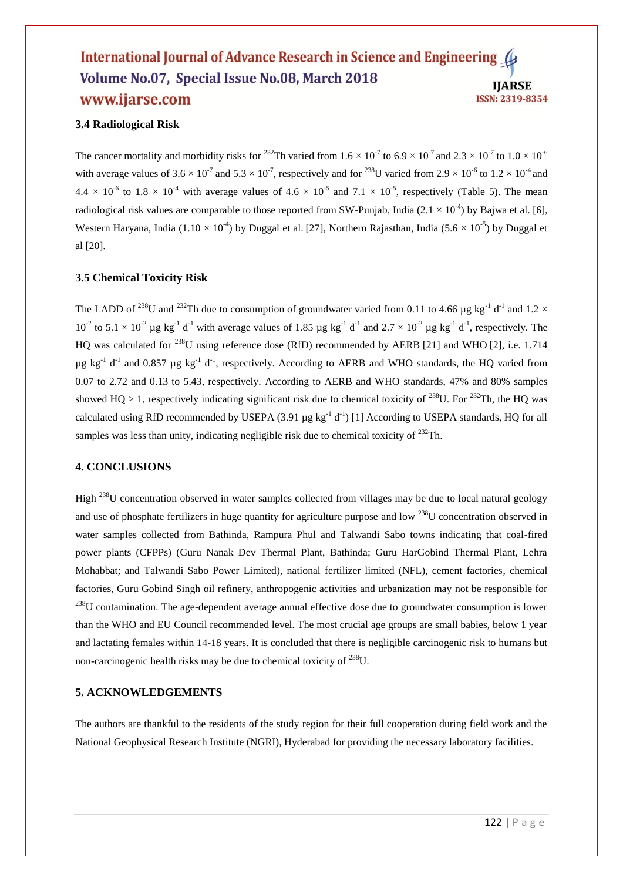#### **3.4 Radiological Risk**

The cancer mortality and morbidity risks for <sup>232</sup>Th varied from  $1.6 \times 10^{-7}$  to  $6.9 \times 10^{-7}$  and  $2.3 \times 10^{-7}$  to  $1.0 \times 10^{-6}$ with average values of 3.6  $\times$  10<sup>-7</sup> and 5.3  $\times$  10<sup>-7</sup>, respectively and for <sup>238</sup>U varied from 2.9  $\times$  10<sup>-6</sup> to 1.2  $\times$  10<sup>-4</sup> and  $4.4 \times 10^{-6}$  to  $1.8 \times 10^{-4}$  with average values of  $4.6 \times 10^{-5}$  and  $7.1 \times 10^{-5}$ , respectively (Table 5). The mean radiological risk values are comparable to those reported from SW-Punjab, India (2.1  $\times$  10<sup>-4</sup>) by Bajwa et al. [6], Western Haryana, India (1.10  $\times$  10<sup>-4</sup>) by Duggal et al. [27], Northern Rajasthan, India (5.6  $\times$  10<sup>-5</sup>) by Duggal et al [20].

#### **3.5 Chemical Toxicity Risk**

The LADD of <sup>238</sup>U and <sup>232</sup>Th due to consumption of groundwater varied from 0.11 to 4.66 µg kg<sup>-1</sup> d<sup>-1</sup> and 1.2 ×  $10^{-2}$  to  $5.1 \times 10^{-2}$  µg kg<sup>-1</sup> d<sup>-1</sup> with average values of 1.85 µg kg<sup>-1</sup> d<sup>-1</sup> and  $2.7 \times 10^{-2}$  µg kg<sup>-1</sup> d<sup>-1</sup>, respectively. The HQ was calculated for <sup>238</sup>U using reference dose (RfD) recommended by AERB [21] and WHO [2], i.e. 1.714  $\mu$ g kg<sup>-1</sup> d<sup>-1</sup> and 0.857  $\mu$ g kg<sup>-1</sup> d<sup>-1</sup>, respectively. According to AERB and WHO standards, the HQ varied from 0.07 to 2.72 and 0.13 to 5.43, respectively. According to AERB and WHO standards, 47% and 80% samples showed HO > 1, respectively indicating significant risk due to chemical toxicity of <sup>238</sup>U. For <sup>232</sup>Th, the HO was calculated using RfD recommended by USEPA  $(3.91 \mu g kg^{-1} d^{-1})$  [1] According to USEPA standards, HQ for all samples was less than unity, indicating negligible risk due to chemical toxicity of  $^{232}$ Th.

#### **4. CONCLUSIONS**

High <sup>238</sup>U concentration observed in water samples collected from villages may be due to local natural geology and use of phosphate fertilizers in huge quantity for agriculture purpose and low <sup>238</sup>U concentration observed in water samples collected from Bathinda, Rampura Phul and Talwandi Sabo towns indicating that coal-fired power plants (CFPPs) (Guru Nanak Dev Thermal Plant, Bathinda; Guru HarGobind Thermal Plant, Lehra Mohabbat; and Talwandi Sabo Power Limited), national fertilizer limited (NFL), cement factories, chemical factories, Guru Gobind Singh oil refinery, anthropogenic activities and urbanization may not be responsible for  $^{238}$ U contamination. The age-dependent average annual effective dose due to groundwater consumption is lower than the WHO and EU Council recommended level. The most crucial age groups are small babies, below 1 year and lactating females within 14-18 years. It is concluded that there is negligible carcinogenic risk to humans but non-carcinogenic health risks may be due to chemical toxicity of  $^{238}U$ .

#### **5. ACKNOWLEDGEMENTS**

The authors are thankful to the residents of the study region for their full cooperation during field work and the National Geophysical Research Institute (NGRI), Hyderabad for providing the necessary laboratory facilities.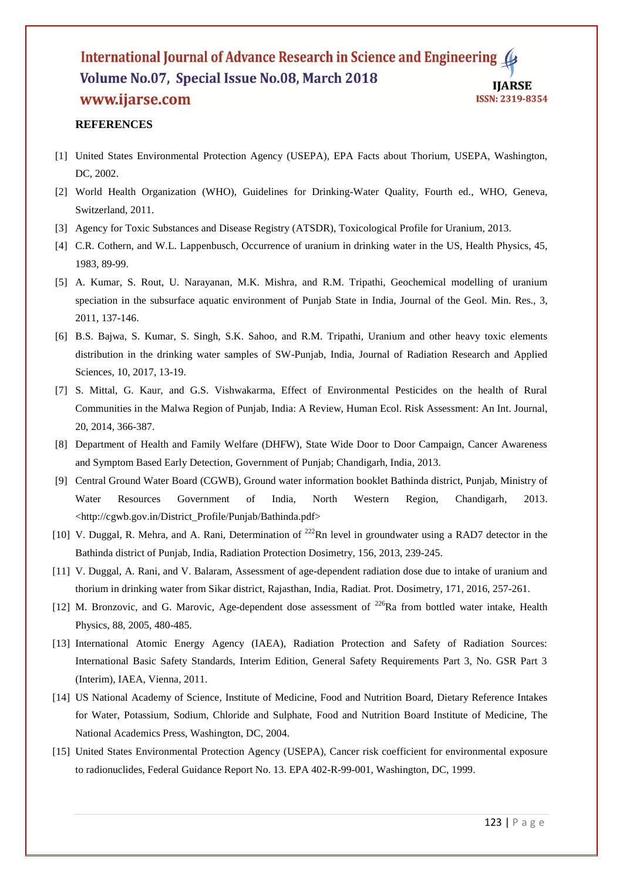#### **REFERENCES**

- [1] United States Environmental Protection Agency (USEPA), EPA Facts about Thorium, USEPA, Washington, DC, 2002.
- [2] World Health Organization (WHO), Guidelines for Drinking-Water Quality, Fourth ed., WHO, Geneva, Switzerland, 2011.
- [3] Agency for Toxic Substances and Disease Registry (ATSDR), Toxicological Profile for Uranium, 2013.
- [4] C.R. Cothern, and W.L. Lappenbusch, Occurrence of uranium in drinking water in the US, Health Physics, 45, 1983, 89-99.
- [5] A. Kumar, S. Rout, U. Narayanan, M.K. Mishra, and R.M. Tripathi, Geochemical modelling of uranium speciation in the subsurface aquatic environment of Punjab State in India, Journal of the Geol. Min. Res., 3, 2011, 137-146.
- [6] B.S. Bajwa, S. Kumar, S. Singh, S.K. Sahoo, and R.M. Tripathi, Uranium and other heavy toxic elements distribution in the drinking water samples of SW-Punjab, India, Journal of Radiation Research and Applied Sciences, 10, 2017, 13-19.
- [7] S. Mittal, G. Kaur, and G.S. Vishwakarma, Effect of Environmental Pesticides on the health of Rural Communities in the Malwa Region of Punjab, India: A Review, Human Ecol. Risk Assessment: An Int. Journal, 20, 2014, 366-387.
- [8] Department of Health and Family Welfare (DHFW), State Wide Door to Door Campaign, Cancer Awareness and Symptom Based Early Detection, Government of Punjab; Chandigarh, India, 2013.
- [9] Central Ground Water Board (CGWB), Ground water information booklet Bathinda district, Punjab, Ministry of Water Resources Government of India, North Western Region, Chandigarh, 2013. <http://cgwb.gov.in/District\_Profile/Punjab/Bathinda.pdf>
- [10] V. Duggal, R. Mehra, and A. Rani, Determination of  $^{222}$ Rn level in groundwater using a RAD7 detector in the Bathinda district of Punjab, India, Radiation Protection Dosimetry, 156, 2013, 239-245.
- [11] V. Duggal, A. Rani, and V. Balaram, Assessment of age-dependent radiation dose due to intake of uranium and thorium in drinking water from Sikar district, Rajasthan, India, Radiat. Prot. Dosimetry, 171, 2016, 257-261.
- [12] M. Bronzovic, and G. Marovic, Age-dependent dose assessment of <sup>226</sup>Ra from bottled water intake, Health Physics, 88, 2005, 480-485.
- [13] International Atomic Energy Agency (IAEA), Radiation Protection and Safety of Radiation Sources: International Basic Safety Standards, Interim Edition, General Safety Requirements Part 3, No. GSR Part 3 (Interim), IAEA, Vienna, 2011.
- [14] US National Academy of Science, Institute of Medicine, Food and Nutrition Board, Dietary Reference Intakes for Water, Potassium, Sodium, Chloride and Sulphate, Food and Nutrition Board Institute of Medicine, The National Academics Press, Washington, DC, 2004.
- [15] United States Environmental Protection Agency (USEPA), Cancer risk coefficient for environmental exposure to radionuclides, Federal Guidance Report No. 13. EPA 402-R-99-001, Washington, DC, 1999.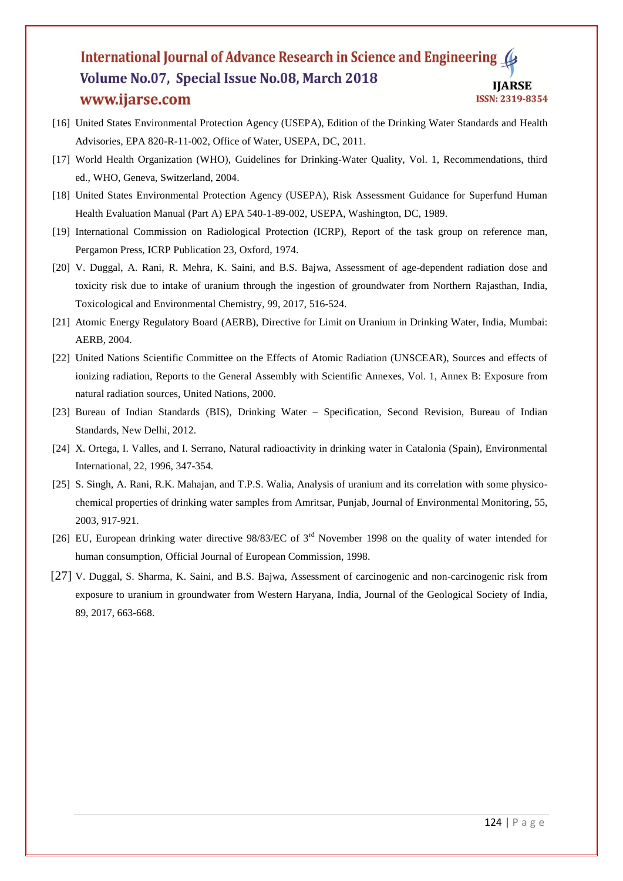- [16] United States Environmental Protection Agency (USEPA), Edition of the Drinking Water Standards and Health Advisories, EPA 820-R-11-002, Office of Water, USEPA, DC, 2011.
- [17] World Health Organization (WHO), Guidelines for Drinking-Water Quality, Vol. 1, Recommendations, third ed., WHO, Geneva, Switzerland, 2004.
- [18] United States Environmental Protection Agency (USEPA), Risk Assessment Guidance for Superfund Human Health Evaluation Manual (Part A) EPA 540-1-89-002, USEPA, Washington, DC, 1989.
- [19] International Commission on Radiological Protection (ICRP), Report of the task group on reference man, Pergamon Press, ICRP Publication 23, Oxford, 1974.
- [20] V. Duggal, A. Rani, R. Mehra, K. Saini, and B.S. Bajwa, Assessment of age-dependent radiation dose and toxicity risk due to intake of uranium through the ingestion of groundwater from Northern Rajasthan, India, Toxicological and Environmental Chemistry, 99, 2017, 516-524.
- [21] Atomic Energy Regulatory Board (AERB), Directive for Limit on Uranium in Drinking Water, India, Mumbai: AERB, 2004.
- [22] United Nations Scientific Committee on the Effects of Atomic Radiation (UNSCEAR), Sources and effects of ionizing radiation, Reports to the General Assembly with Scientific Annexes, Vol. 1, Annex B: Exposure from natural radiation sources, United Nations, 2000.
- [23] Bureau of Indian Standards (BIS), Drinking Water Specification, Second Revision, Bureau of Indian Standards, New Delhi, 2012.
- [24] X. Ortega, I. Valles, and I. Serrano, Natural radioactivity in drinking water in Catalonia (Spain), Environmental International, 22, 1996, 347-354.
- [25] S. Singh, A. Rani, R.K. Mahajan, and T.P.S. Walia, Analysis of uranium and its correlation with some physicochemical properties of drinking water samples from Amritsar, Punjab, Journal of Environmental Monitoring, 55, 2003, 917-921.
- [26] EU, European drinking water directive 98/83/EC of 3<sup>rd</sup> November 1998 on the quality of water intended for human consumption, Official Journal of European Commission, 1998.
- [27] V. Duggal, S. Sharma, K. Saini, and B.S. Bajwa, Assessment of carcinogenic and non-carcinogenic risk from exposure to uranium in groundwater from Western Haryana, India, Journal of the Geological Society of India, 89, 2017, 663-668.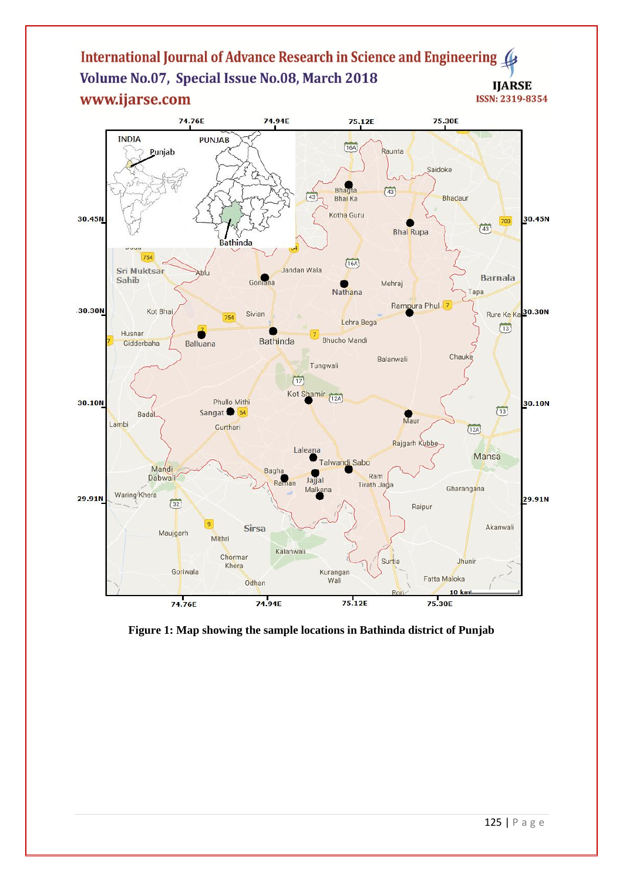

**Figure 1: Map showing the sample locations in Bathinda district of Punjab**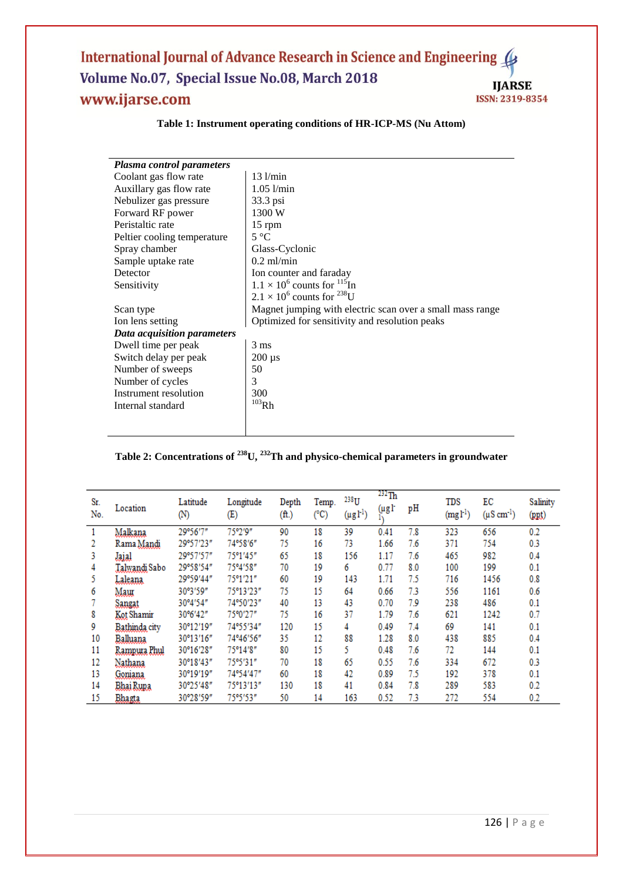| Plasma control parameters   |                                                           |
|-----------------------------|-----------------------------------------------------------|
| Coolant gas flow rate       | $13$ $1/min$                                              |
| Auxillary gas flow rate     | $1.05$ $1/min$                                            |
| Nebulizer gas pressure      | 33.3 psi                                                  |
| Forward RF power            | 1300 W                                                    |
| Peristaltic rate            | 15 rpm                                                    |
| Peltier cooling temperature | $5^{\circ}C$                                              |
| Spray chamber               | Glass-Cyclonic                                            |
| Sample uptake rate          | $0.2$ ml/min                                              |
| Detector                    | Ion counter and faraday                                   |
| Sensitivity                 | $1.1 \times 10^6$ counts for $^{115}$ In                  |
|                             | $2.1 \times 10^6$ counts for <sup>238</sup> U             |
| Scan type                   | Magnet jumping with electric scan over a small mass range |
| Ion lens setting            | Optimized for sensitivity and resolution peaks            |
| Data acquisition parameters |                                                           |
| Dwell time per peak         | $3 \text{ ms}$                                            |
| Switch delay per peak       | $200 \mu s$                                               |
| Number of sweeps            | 50                                                        |
| Number of cycles            | 3                                                         |
| Instrument resolution       | 300                                                       |
| Internal standard           | $103$ Rh                                                  |
|                             |                                                           |
|                             |                                                           |

#### **Table 1: Instrument operating conditions of HR-ICP-MS (Nu Attom)**

### **Table 2: Concentrations of <sup>238</sup>U, <sup>232</sup>Th and physico-chemical parameters in groundwater**

| Sr.<br>No. | Location      | Latitude<br>(N) | Longitude<br>Œ) | Depth<br>(ft.) | Temp.<br>(°C) | 238 <sub>U</sub><br>$(\mu g l^{-1})$ | $^{232}$ Th<br>$(\mu g)$ | pH  | TDS<br>(mgl <sup>1</sup> ) | EС<br>$(\mu S \text{ cm}^{-1})$ | Salinity<br>(ppt) |
|------------|---------------|-----------------|-----------------|----------------|---------------|--------------------------------------|--------------------------|-----|----------------------------|---------------------------------|-------------------|
|            | Malkana       | 29°56'7"        | 75°2'9"         | 90             | 18            | 39                                   | 0.41                     | 7.8 | 323                        | 656                             | 0.2               |
|            | Rama Mandi    | 29°57′23″       | 74°58'6"        | 75             | 16            | 73                                   | 1.66                     | 7.6 | 371                        | 754                             | 0.3               |
| 3          | <b>Jajal</b>  | 29°57'57"       | 75°1′45″        | 65             | 18            | 156                                  | 1.17                     | 7.6 | 465                        | 982                             | 0.4               |
| 4          | Talwandi Sabo | 29°58'54″       | 75°4'58"        | 70             | 19            | 6                                    | 0.77                     | 8.0 | 100                        | 199                             | 0.1               |
| 5          | Laleana       | 29°59′44″       | 75°1'21"        | 60             | 19            | 143                                  | 1.71                     | 75  | 716                        | 1456                            | 0.8               |
| 6          | Маш           | 30°3'59"        | 75°13′23″       | 75             | 15            | 64                                   | 0.66                     | 7.3 | 556                        | 1161                            | 0.6               |
|            | Sangat        | 30°4′54″        | 74°50′23″       | 40             | 13            | 43                                   | 0.70                     | 7.9 | 238                        | 486                             | 0.1               |
| 8          | Kot Shamir    | 30°6'42"        | 75°0′27″        | 75             | 16            | 37                                   | 1.79                     | 7.6 | 621                        | 1242                            | 0.7               |
| 9          | Bathinda city | 30°12'19"       | 74°55′34″       | 120            | 15            | 4                                    | 0.49                     | 7.4 | 69                         | 141                             | 0.1               |
| 10         | Balluana      | 30°13′16″       | 74°46′56″       | 35             | 12            | 88                                   | 1.28                     | 8.0 | 438                        | 885                             | 0.4               |
| 11         | Rampura Phul  | 30°16'28"       | 75°14'8"        | 80             | 15            | 5.                                   | 0.48                     | 7.6 | 72                         | 144                             | 0.1               |
| 12         | Nathana       | 30°18'43"       | 75°5′31″        | 70             | 18            | 65                                   | 0.55                     | 7.6 | 334                        | 672                             | 0.3               |
| 13         | Gomana        | 30°19'19"       | 74°54′47″       | 60             | 18            | 42                                   | 0.89                     | 7.5 | 192                        | 378                             | 0.1               |
| 14         | Bhai Rupa     | 30°25′48″       | 75°13′13″       | 130            | 18            | 41                                   | 0.84                     | 7.8 | 289                        | 583                             | 0.2               |
| 15         | Bhagta        | 30°28′59″       | 75°5′53″        | 50             | 14            | 163                                  | 0.52                     | 7.3 | 272                        | 554                             | 0.2               |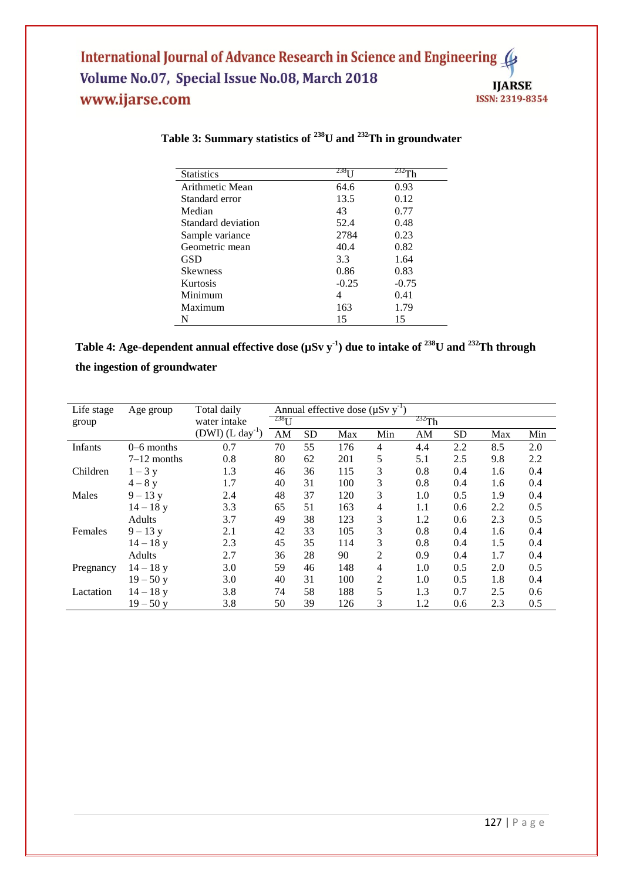| <b>Statistics</b>  | 238 <sub>T</sub> | 232-<br>`h |
|--------------------|------------------|------------|
| Arithmetic Mean    | 64.6             | 0.93       |
| Standard error     | 13.5             | 0.12       |
| Median             | 43               | 0.77       |
| Standard deviation | 52.4             | 0.48       |
| Sample variance    | 2784             | 0.23       |
| Geometric mean     | 40.4             | 0.82       |
| <b>GSD</b>         | 3.3              | 1.64       |
| <b>Skewness</b>    | 0.86             | 0.83       |
| Kurtosis           | $-0.25$          | $-0.75$    |
| Minimum            | 4                | 0.41       |
| Maximum            | 163              | 1.79       |
| N                  | 15               | 15         |

## **Table 3: Summary statistics of <sup>238</sup>U and <sup>232</sup>Th in groundwater**

| Table 4: Age-dependent annual effective dose ( $\mu Sv$ y <sup>-1</sup> ) due to intake of <sup>238</sup> U and <sup>232</sup> Th through |  |
|-------------------------------------------------------------------------------------------------------------------------------------------|--|
| the ingestion of groundwater                                                                                                              |  |

| Life stage | Age group     | Total daily                    | Annual effective dose $(\mu Sv y^{-1})$ |                           |     |                |     |           |     |     |  |
|------------|---------------|--------------------------------|-----------------------------------------|---------------------------|-----|----------------|-----|-----------|-----|-----|--|
| group      |               | water intake                   |                                         | $^{232}$ Th<br>$^{238}$ U |     |                |     |           |     |     |  |
|            |               | $(DWI)$ (L day <sup>-1</sup> ) | AM                                      | <b>SD</b>                 | Max | Min            | AM  | <b>SD</b> | Max | Min |  |
| Infants    | $0-6$ months  | 0.7                            | 70                                      | 55                        | 176 | 4              | 4.4 | 2.2       | 8.5 | 2.0 |  |
|            | $7-12$ months | 0.8                            | 80                                      | 62                        | 201 | 5              | 5.1 | 2.5       | 9.8 | 2.2 |  |
| Children   | $1 - 3$ y     | 1.3                            | 46                                      | 36                        | 115 | 3              | 0.8 | 0.4       | 1.6 | 0.4 |  |
|            | $4 - 8$ v     | 1.7                            | 40                                      | 31                        | 100 | 3              | 0.8 | 0.4       | 1.6 | 0.4 |  |
| Males      | $9 - 13y$     | 2.4                            | 48                                      | 37                        | 120 | 3              | 1.0 | 0.5       | 1.9 | 0.4 |  |
|            | $14 - 18$ y   | 3.3                            | 65                                      | 51                        | 163 | 4              | 1.1 | 0.6       | 2.2 | 0.5 |  |
|            | Adults        | 3.7                            | 49                                      | 38                        | 123 | 3              | 1.2 | 0.6       | 2.3 | 0.5 |  |
| Females    | $9 - 13y$     | 2.1                            | 42                                      | 33                        | 105 | 3              | 0.8 | 0.4       | 1.6 | 0.4 |  |
|            | $14 - 18y$    | 2.3                            | 45                                      | 35                        | 114 | 3              | 0.8 | 0.4       | 1.5 | 0.4 |  |
|            | Adults        | 2.7                            | 36                                      | 28                        | 90  | $\overline{c}$ | 0.9 | 0.4       | 1.7 | 0.4 |  |
| Pregnancy  | $14 - 18$ y   | 3.0                            | 59                                      | 46                        | 148 | 4              | 1.0 | 0.5       | 2.0 | 0.5 |  |
|            | $19 - 50$ y   | 3.0                            | 40                                      | 31                        | 100 | 2              | 1.0 | 0.5       | 1.8 | 0.4 |  |
| Lactation  | $14 - 18$ y   | 3.8                            | 74                                      | 58                        | 188 | 5              | 1.3 | 0.7       | 2.5 | 0.6 |  |
|            | $19 - 50y$    | 3.8                            | 50                                      | 39                        | 126 | 3              | 1.2 | 0.6       | 2.3 | 0.5 |  |